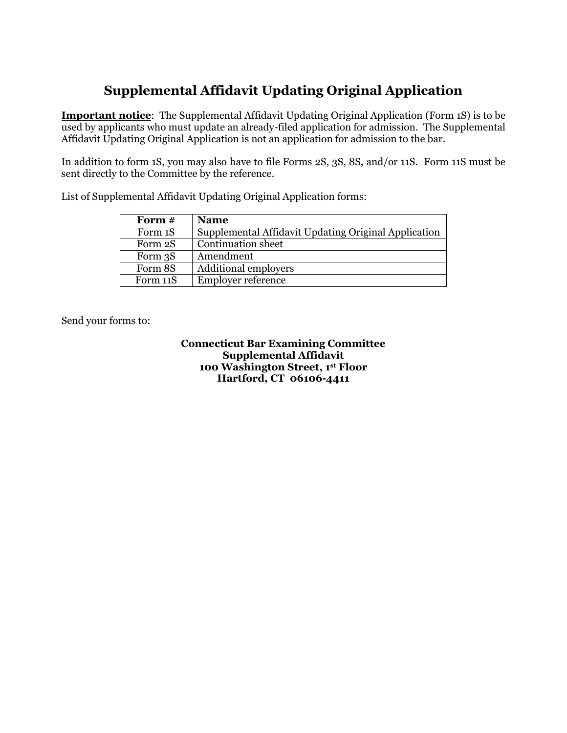### **Supplemental Affidavit Updating Original Application**

**Important notice**: The Supplemental Affidavit Updating Original Application (Form 1S) is to be used by applicants who must update an already-filed application for admission. The Supplemental Affidavit Updating Original Application is not an application for admission to the bar.

In addition to form 1S, you may also have to file Forms 2S, 3S, 8S, and/or 11S. Form 11S must be sent directly to the Committee by the reference.

| Form $#$ | <b>Name</b>                                          |
|----------|------------------------------------------------------|
| Form 1S  | Supplemental Affidavit Updating Original Application |
| Form 2S  | <b>Continuation</b> sheet                            |
| Form 3S  | Amendment                                            |
| Form 8S  | <b>Additional employers</b>                          |
| Form 11S | <b>Employer reference</b>                            |

List of Supplemental Affidavit Updating Original Application forms:

Send your forms to:

**Connecticut Bar Examining Committee Supplemental Affidavit 100 Washington Street, 1st Floor Hartford, CT 06106-4411**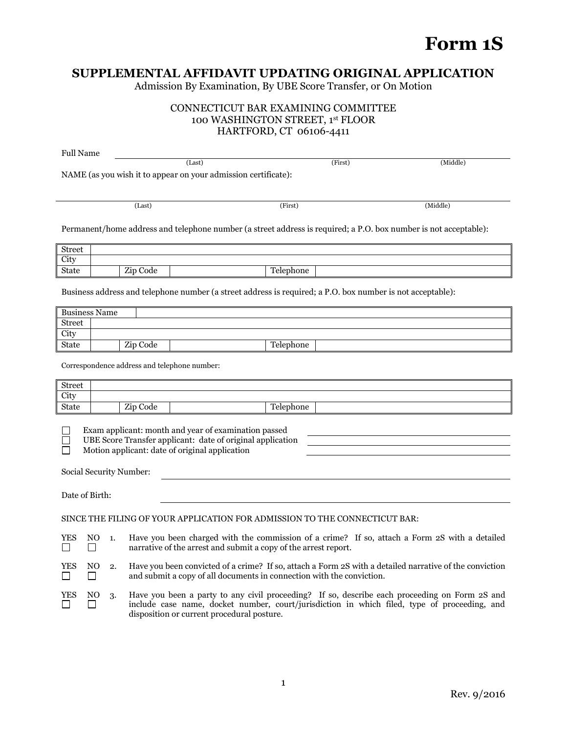## **Form 1S**

### **SUPPLEMENTAL AFFIDAVIT UPDATING ORIGINAL APPLICATION**

Admission By Examination, By UBE Score Transfer, or On Motion

#### CONNECTICUT BAR EXAMINING COMMITTEE 100 WASHINGTON STREET, 1st FLOOR HARTFORD, CT 06106-4411

| <b>Full Name</b> |                                                                                                                                                                                    |    |                                                                                                                                                                                                                                             |  |           |                                                                                                            |                                                                                                                  |
|------------------|------------------------------------------------------------------------------------------------------------------------------------------------------------------------------------|----|---------------------------------------------------------------------------------------------------------------------------------------------------------------------------------------------------------------------------------------------|--|-----------|------------------------------------------------------------------------------------------------------------|------------------------------------------------------------------------------------------------------------------|
|                  |                                                                                                                                                                                    |    | (Last)                                                                                                                                                                                                                                      |  |           | (First)                                                                                                    | (Middle)                                                                                                         |
|                  |                                                                                                                                                                                    |    | NAME (as you wish it to appear on your admission certificate):                                                                                                                                                                              |  |           |                                                                                                            |                                                                                                                  |
|                  |                                                                                                                                                                                    |    |                                                                                                                                                                                                                                             |  |           |                                                                                                            |                                                                                                                  |
|                  |                                                                                                                                                                                    |    |                                                                                                                                                                                                                                             |  |           |                                                                                                            |                                                                                                                  |
|                  |                                                                                                                                                                                    |    | (Last)                                                                                                                                                                                                                                      |  | (First)   |                                                                                                            | (Middle)                                                                                                         |
|                  |                                                                                                                                                                                    |    |                                                                                                                                                                                                                                             |  |           |                                                                                                            | Permanent/home address and telephone number (a street address is required; a P.O. box number is not acceptable): |
| <b>Street</b>    |                                                                                                                                                                                    |    |                                                                                                                                                                                                                                             |  |           |                                                                                                            |                                                                                                                  |
| City             |                                                                                                                                                                                    |    |                                                                                                                                                                                                                                             |  |           |                                                                                                            |                                                                                                                  |
| State            |                                                                                                                                                                                    |    | Zip Code                                                                                                                                                                                                                                    |  | Telephone |                                                                                                            |                                                                                                                  |
|                  |                                                                                                                                                                                    |    |                                                                                                                                                                                                                                             |  |           | Business address and telephone number (a street address is required; a P.O. box number is not acceptable): |                                                                                                                  |
|                  | <b>Business Name</b>                                                                                                                                                               |    |                                                                                                                                                                                                                                             |  |           |                                                                                                            |                                                                                                                  |
| <b>Street</b>    |                                                                                                                                                                                    |    |                                                                                                                                                                                                                                             |  |           |                                                                                                            |                                                                                                                  |
| City             |                                                                                                                                                                                    |    |                                                                                                                                                                                                                                             |  |           |                                                                                                            |                                                                                                                  |
| State            |                                                                                                                                                                                    |    | Zip Code                                                                                                                                                                                                                                    |  | Telephone |                                                                                                            |                                                                                                                  |
|                  |                                                                                                                                                                                    |    | Correspondence address and telephone number:                                                                                                                                                                                                |  |           |                                                                                                            |                                                                                                                  |
| <b>Street</b>    |                                                                                                                                                                                    |    |                                                                                                                                                                                                                                             |  |           |                                                                                                            |                                                                                                                  |
| City             |                                                                                                                                                                                    |    |                                                                                                                                                                                                                                             |  |           |                                                                                                            |                                                                                                                  |
| State            |                                                                                                                                                                                    |    | Zip Code                                                                                                                                                                                                                                    |  | Telephone |                                                                                                            |                                                                                                                  |
|                  | Exam applicant: month and year of examination passed<br>UBE Score Transfer applicant: date of original application<br>Motion applicant: date of original application               |    |                                                                                                                                                                                                                                             |  |           |                                                                                                            |                                                                                                                  |
|                  |                                                                                                                                                                                    |    | Social Security Number:                                                                                                                                                                                                                     |  |           |                                                                                                            |                                                                                                                  |
|                  | Date of Birth:                                                                                                                                                                     |    |                                                                                                                                                                                                                                             |  |           |                                                                                                            |                                                                                                                  |
|                  |                                                                                                                                                                                    |    |                                                                                                                                                                                                                                             |  |           | SINCE THE FILING OF YOUR APPLICATION FOR ADMISSION TO THE CONNECTICUT BAR:                                 |                                                                                                                  |
| YES              | NO.<br>Have you been charged with the commission of a crime? If so, attach a Form 2S with a detailed<br>1.<br>narrative of the arrest and submit a copy of the arrest report.<br>П |    |                                                                                                                                                                                                                                             |  |           |                                                                                                            |                                                                                                                  |
| YES              | NO.                                                                                                                                                                                | 2. | Have you been convicted of a crime? If so, attach a Form 2S with a detailed narrative of the conviction<br>and submit a copy of all documents in connection with the conviction.                                                            |  |           |                                                                                                            |                                                                                                                  |
| YES              | NO.                                                                                                                                                                                | 3. | Have you been a party to any civil proceeding? If so, describe each proceeding on Form 2S and<br>include case name, docket number, court/jurisdiction in which filed, type of proceeding, and<br>disposition or current procedural posture. |  |           |                                                                                                            |                                                                                                                  |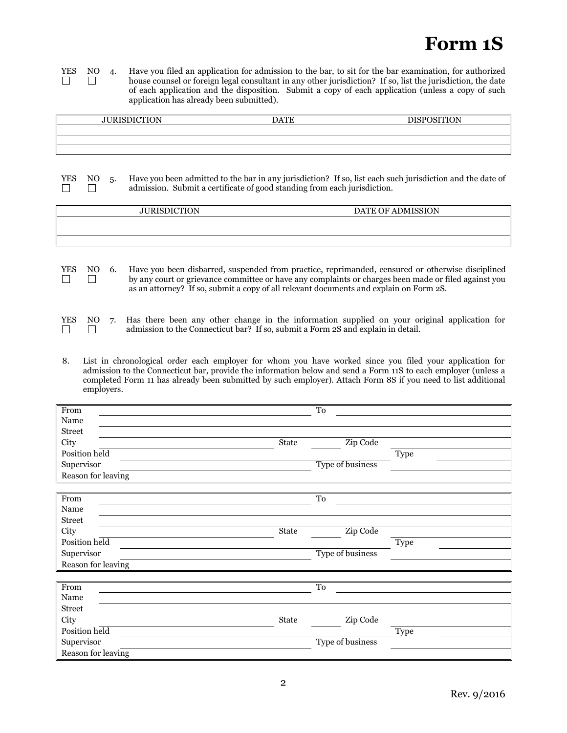# **Form 1S**

**YES** NO 4. Have you filed an application for admission to the bar, to sit for the bar examination, for authorized house counsel or foreign legal consultant in any other jurisdiction? If so, list the jurisdiction, the dat house counsel or foreign legal consultant in any other jurisdiction? If so, list the jurisdiction, the date of each application and the disposition. Submit a copy of each application (unless a copy of such application has already been submitted).

| <b>JURISDICTION</b> | <b>DATE</b> | <b>DISPOSITION</b> |
|---------------------|-------------|--------------------|
|                     |             |                    |
|                     |             |                    |
|                     |             |                    |

 $\Box$  $\Box$ 

YES NO 5. Have you been admitted to the bar in any jurisdiction? If so, list each such jurisdiction and the date of admission. Submit a certificate of good standing from each jurisdiction.

| <b>JURISDICTION</b> | DATE OF ADMISSION |
|---------------------|-------------------|
|                     |                   |
|                     |                   |
|                     |                   |

|  | YES NO 6. Have you been disbarred, suspended from practice, reprimanded, censured or otherwise disciplined |
|--|------------------------------------------------------------------------------------------------------------|
|  | by any court or grievance committee or have any complaints or charges been made or filed against you       |
|  | as an attorney? If so, submit a copy of all relevant documents and explain on Form 2S.                     |

|               |  | YES NO 7. Has there been any other change in the information supplied on your original application for |
|---------------|--|--------------------------------------------------------------------------------------------------------|
| $\Box$ $\Box$ |  | admission to the Connecticut bar? If so, submit a Form 2S and explain in detail.                       |

8. List in chronological order each employer for whom you have worked since you filed your application for admission to the Connecticut bar, provide the information below and send a Form 11S to each employer (unless a completed Form 11 has already been submitted by such employer). Attach Form 8S if you need to list additional employers.

| From               |       | To               |             |
|--------------------|-------|------------------|-------------|
| Name               |       |                  |             |
| <b>Street</b>      |       |                  |             |
| City               | State | Zip Code         |             |
| Position held      |       |                  | <b>Type</b> |
| Supervisor         |       | Type of business |             |
| Reason for leaving |       |                  |             |

| From               |  |              | To               |             |  |
|--------------------|--|--------------|------------------|-------------|--|
| Name               |  |              |                  |             |  |
| Street             |  |              |                  |             |  |
| <b>City</b>        |  | <b>State</b> | Zip Code         |             |  |
| Position held      |  |              |                  | <b>Type</b> |  |
| Supervisor         |  |              | Type of business |             |  |
| Reason for leaving |  |              |                  |             |  |
|                    |  |              |                  |             |  |

| From               |       | To               |      |
|--------------------|-------|------------------|------|
| Name               |       |                  |      |
| Street             |       |                  |      |
| City               | State | Zip Code         |      |
| Position held      |       |                  | Type |
| Supervisor         |       | Type of business |      |
| Reason for leaving |       |                  |      |